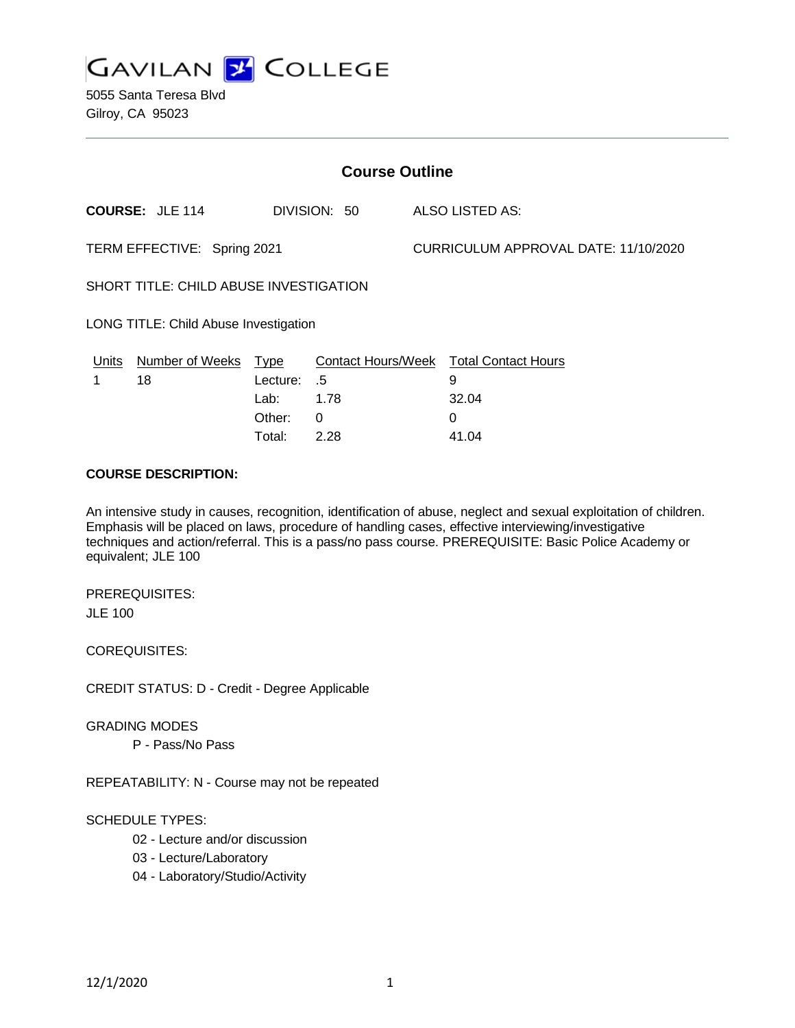

5055 Santa Teresa Blvd Gilroy, CA 95023

| <b>Course Outline</b>                  |                        |          |              |                                      |                                        |
|----------------------------------------|------------------------|----------|--------------|--------------------------------------|----------------------------------------|
|                                        | <b>COURSE: JLE 114</b> |          | DIVISION: 50 |                                      | ALSO LISTED AS:                        |
| TERM EFFECTIVE: Spring 2021            |                        |          |              | CURRICULUM APPROVAL DATE: 11/10/2020 |                                        |
| SHORT TITLE: CHILD ABUSE INVESTIGATION |                        |          |              |                                      |                                        |
| LONG TITLE: Child Abuse Investigation  |                        |          |              |                                      |                                        |
| Units                                  | Number of Weeks Type   |          |              |                                      | Contact Hours/Week Total Contact Hours |
|                                        | 18                     | Lecture: | .5           |                                      | 9                                      |
|                                        |                        | Lab:     | 1.78         |                                      | 32.04                                  |
|                                        |                        | Other:   | $\Omega$     |                                      | 0                                      |
|                                        |                        | Total:   | 2.28         |                                      | 41.04                                  |

#### **COURSE DESCRIPTION:**

An intensive study in causes, recognition, identification of abuse, neglect and sexual exploitation of children. Emphasis will be placed on laws, procedure of handling cases, effective interviewing/investigative techniques and action/referral. This is a pass/no pass course. PREREQUISITE: Basic Police Academy or equivalent; JLE 100

PREREQUISITES: JLE 100

COREQUISITES:

CREDIT STATUS: D - Credit - Degree Applicable

GRADING MODES

P - Pass/No Pass

REPEATABILITY: N - Course may not be repeated

#### SCHEDULE TYPES:

- 02 Lecture and/or discussion
- 03 Lecture/Laboratory
- 04 Laboratory/Studio/Activity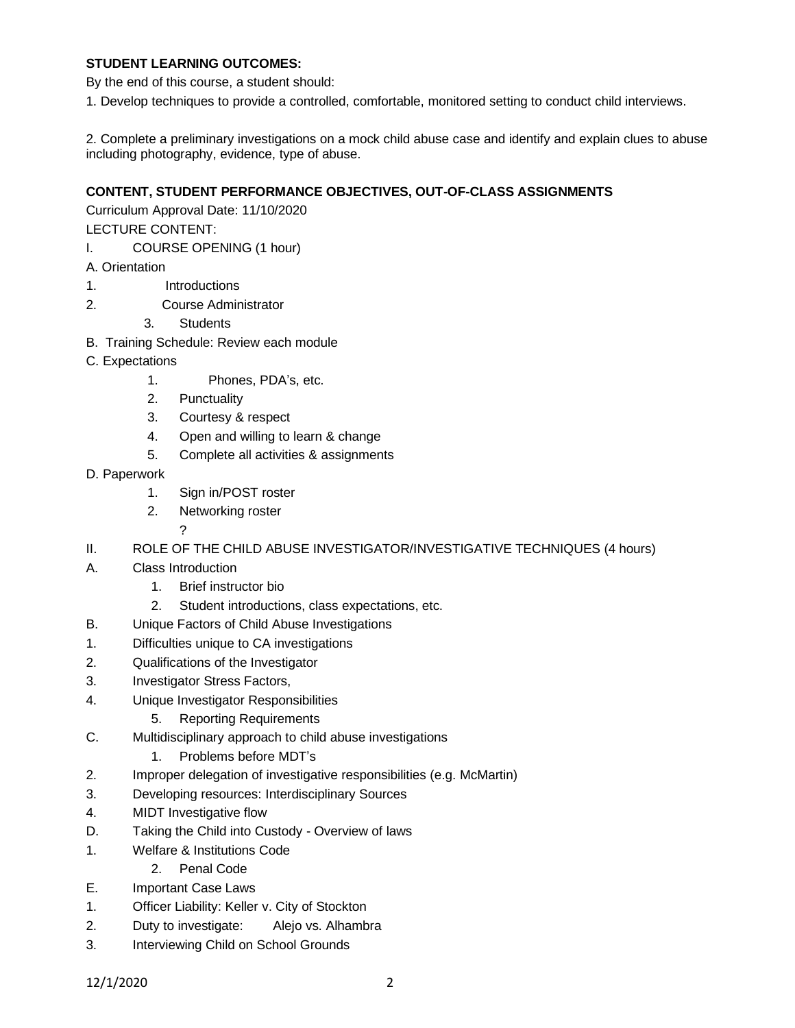### **STUDENT LEARNING OUTCOMES:**

By the end of this course, a student should:

1. Develop techniques to provide a controlled, comfortable, monitored setting to conduct child interviews.

2. Complete a preliminary investigations on a mock child abuse case and identify and explain clues to abuse including photography, evidence, type of abuse.

### **CONTENT, STUDENT PERFORMANCE OBJECTIVES, OUT-OF-CLASS ASSIGNMENTS**

Curriculum Approval Date: 11/10/2020

LECTURE CONTENT:

- I. COURSE OPENING (1 hour)
- A. Orientation
- 1. Introductions
- 2. Course Administrator
	- 3. Students
- B. Training Schedule: Review each module
- C. Expectations
	- 1. Phones, PDA's, etc.
	- 2. Punctuality
	- 3. Courtesy & respect
	- 4. Open and willing to learn & change
	- 5. Complete all activities & assignments
- D. Paperwork
	- 1. Sign in/POST roster
	- 2. Networking roster
		- ?
- II. ROLE OF THE CHILD ABUSE INVESTIGATOR/INVESTIGATIVE TECHNIQUES (4 hours)
- A. Class Introduction
	- 1. Brief instructor bio
	- 2. Student introductions, class expectations, etc.
- B. Unique Factors of Child Abuse Investigations
- 1. Difficulties unique to CA investigations
- 2. Qualifications of the Investigator
- 3. Investigator Stress Factors,
- 4. Unique Investigator Responsibilities
	- 5. Reporting Requirements
- C. Multidisciplinary approach to child abuse investigations
	- 1. Problems before MDT's
- 2. Improper delegation of investigative responsibilities (e.g. McMartin)
- 3. Developing resources: Interdisciplinary Sources
- 4. MIDT Investigative flow
- D. Taking the Child into Custody Overview of laws
- 1. Welfare & Institutions Code
	- 2. Penal Code
- E. Important Case Laws
- 1. Officer Liability: Keller v. City of Stockton
- 2. Duty to investigate: Alejo vs. Alhambra
- 3. Interviewing Child on School Grounds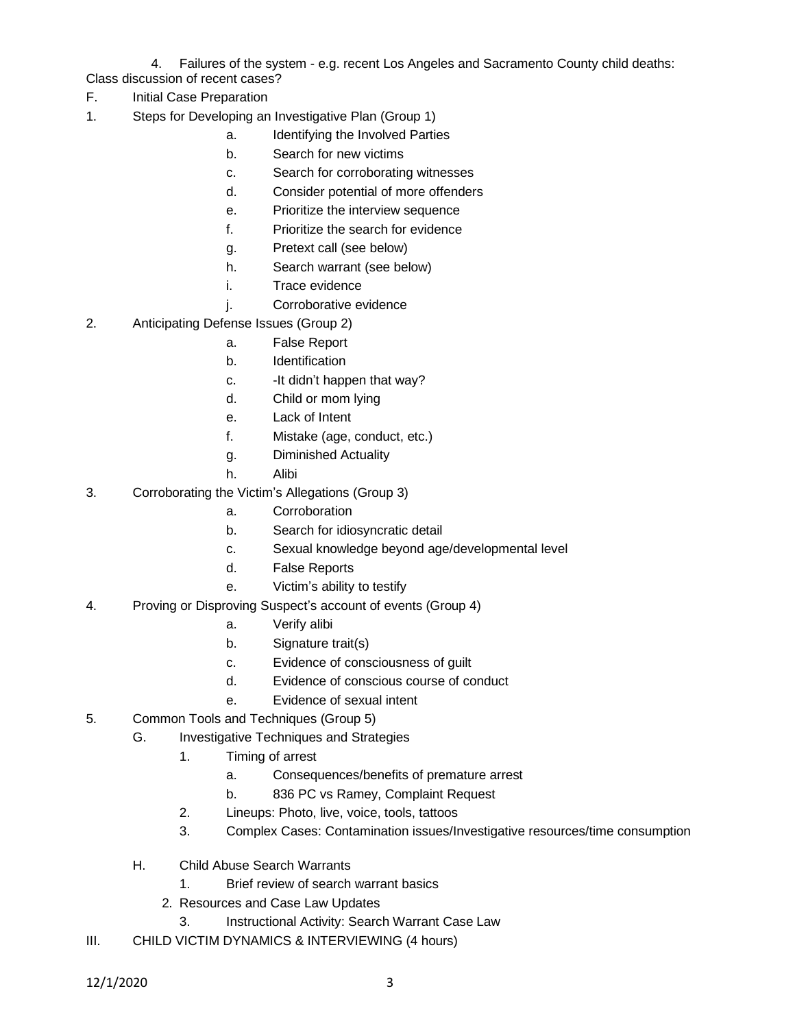4. Failures of the system - e.g. recent Los Angeles and Sacramento County child deaths: Class discussion of recent cases?

- F. Initial Case Preparation
- 1. Steps for Developing an Investigative Plan (Group 1)
	- a. Identifying the Involved Parties
	- b. Search for new victims
	- c. Search for corroborating witnesses
	- d. Consider potential of more offenders
	- e. Prioritize the interview sequence
	- f. Prioritize the search for evidence
	- g. Pretext call (see below)
	- h. Search warrant (see below)
	- i. Trace evidence
	- j. Corroborative evidence
- 2. Anticipating Defense Issues (Group 2)
	- a. False Report
	- b. Identification
	- c. -It didn't happen that way?
	- d. Child or mom lying
	- e. Lack of Intent
	- f. Mistake (age, conduct, etc.)
	- g. Diminished Actuality
	- h. Alibi
- 3. Corroborating the Victim's Allegations (Group 3)
	- a. Corroboration
	- b. Search for idiosyncratic detail
	- c. Sexual knowledge beyond age/developmental level
	- d. False Reports
	- e. Victim's ability to testify
- 4. Proving or Disproving Suspect's account of events (Group 4)
	- a. Verify alibi
	- b. Signature trait(s)
	- c. Evidence of consciousness of guilt
	- d. Evidence of conscious course of conduct
	- e. Evidence of sexual intent
- 5. Common Tools and Techniques (Group 5)
	- G. Investigative Techniques and Strategies
		- 1. Timing of arrest
			- a. Consequences/benefits of premature arrest
			- b. 836 PC vs Ramey, Complaint Request
		- 2. Lineups: Photo, live, voice, tools, tattoos
		- 3. Complex Cases: Contamination issues/Investigative resources/time consumption
	- H. Child Abuse Search Warrants
		- 1. Brief review of search warrant basics
		- 2. Resources and Case Law Updates
			- 3. Instructional Activity: Search Warrant Case Law
- III. CHILD VICTIM DYNAMICS & INTERVIEWING (4 hours)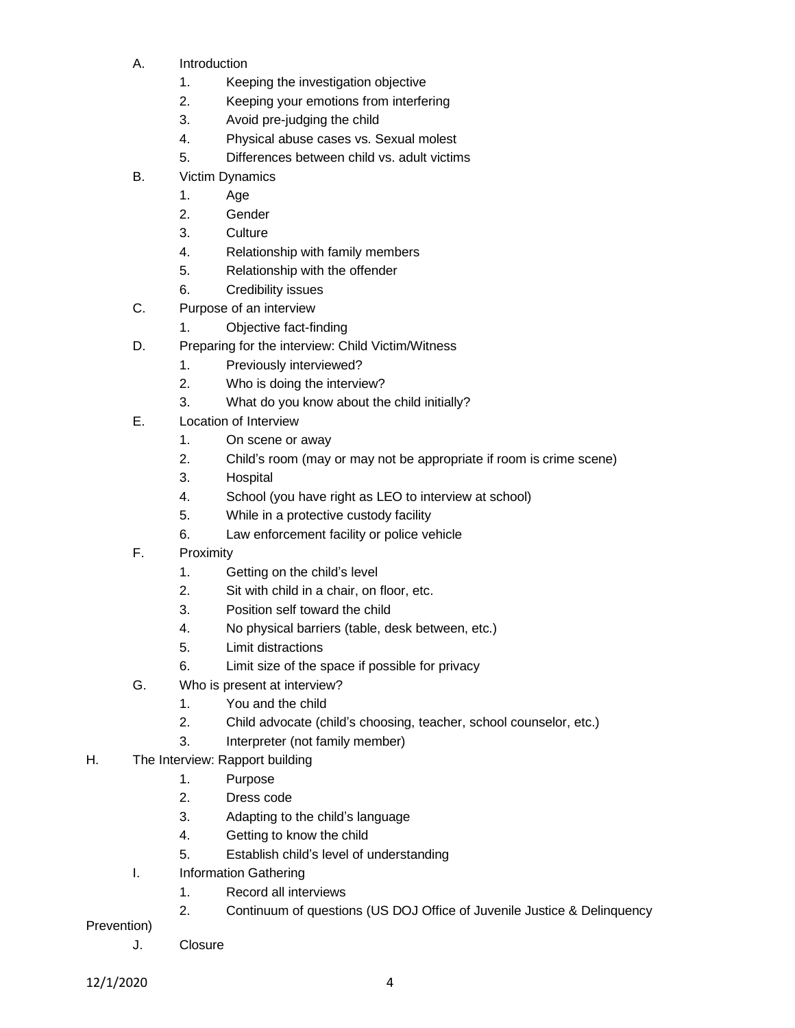- A. Introduction
	- 1. Keeping the investigation objective
	- 2. Keeping your emotions from interfering
	- 3. Avoid pre-judging the child
	- 4. Physical abuse cases vs. Sexual molest
	- 5. Differences between child vs. adult victims
- B. Victim Dynamics
	- 1. Age
	- 2. Gender
	- 3. Culture
	- 4. Relationship with family members
	- 5. Relationship with the offender
	- 6. Credibility issues
- C. Purpose of an interview
	- 1. Objective fact-finding
- D. Preparing for the interview: Child Victim/Witness
	- 1. Previously interviewed?
	- 2. Who is doing the interview?
	- 3. What do you know about the child initially?
- E. Location of Interview
	- 1. On scene or away
	- 2. Child's room (may or may not be appropriate if room is crime scene)
	- 3. Hospital
	- 4. School (you have right as LEO to interview at school)
	- 5. While in a protective custody facility
	- 6. Law enforcement facility or police vehicle
- F. Proximity
	- 1. Getting on the child's level
	- 2. Sit with child in a chair, on floor, etc.
	- 3. Position self toward the child
	- 4. No physical barriers (table, desk between, etc.)
	- 5. Limit distractions
	- 6. Limit size of the space if possible for privacy
- G. Who is present at interview?
	- 1. You and the child
	- 2. Child advocate (child's choosing, teacher, school counselor, etc.)
	- 3. Interpreter (not family member)
- H. The Interview: Rapport building
	- 1. Purpose
	- 2. Dress code
	- 3. Adapting to the child's language
	- 4. Getting to know the child
	- 5. Establish child's level of understanding
	- I. Information Gathering
		- 1. Record all interviews
		- 2. Continuum of questions (US DOJ Office of Juvenile Justice & Delinquency

Prevention)

J. Closure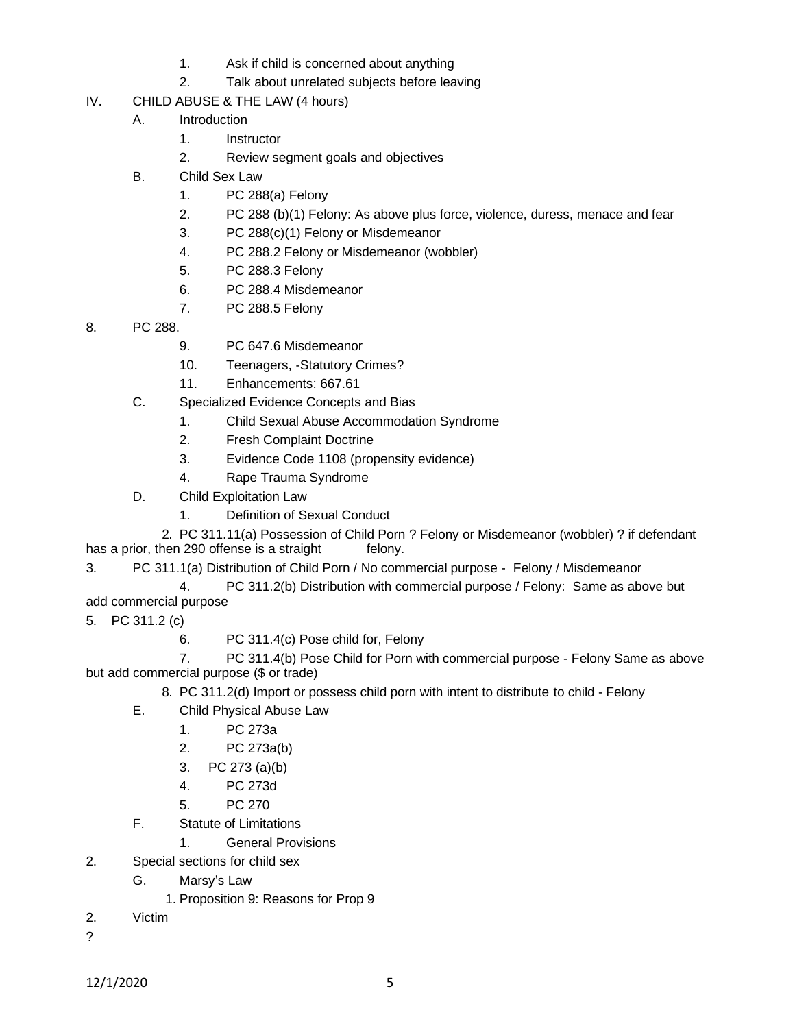- 1. Ask if child is concerned about anything
- 2. Talk about unrelated subjects before leaving
- IV. CHILD ABUSE & THE LAW (4 hours)
	- A. Introduction
		- 1. Instructor
		- 2. Review segment goals and objectives
	- B. Child Sex Law
		- 1. PC 288(a) Felony
		- 2. PC 288 (b)(1) Felony: As above plus force, violence, duress, menace and fear
		- 3. PC 288(c)(1) Felony or Misdemeanor
		- 4. PC 288.2 Felony or Misdemeanor (wobbler)
		- 5. PC 288.3 Felony
		- 6. PC 288.4 Misdemeanor
		- 7. PC 288.5 Felony
- 8. PC 288.
	- 9. PC 647.6 Misdemeanor
	- 10. Teenagers, -Statutory Crimes?
	- 11. Enhancements: 667.61
	- C. Specialized Evidence Concepts and Bias
		- 1. Child Sexual Abuse Accommodation Syndrome
		- 2. Fresh Complaint Doctrine
		- 3. Evidence Code 1108 (propensity evidence)
		- 4. Rape Trauma Syndrome
	- D. Child Exploitation Law
		- 1. Definition of Sexual Conduct

 2. PC 311.11(a) Possession of Child Porn ? Felony or Misdemeanor (wobbler) ? if defendant has a prior, then 290 offense is a straight felony.

3. PC 311.1(a) Distribution of Child Porn / No commercial purpose - Felony / Misdemeanor

- 4. PC 311.2(b) Distribution with commercial purpose / Felony: Same as above but add commercial purpose
- 5. PC 311.2 (c)
	- 6. PC 311.4(c) Pose child for, Felony

7. PC 311.4(b) Pose Child for Porn with commercial purpose - Felony Same as above but add commercial purpose (\$ or trade)

- 8. PC 311.2(d) Import or possess child porn with intent to distribute to child Felony
- E. Child Physical Abuse Law
	- 1. PC 273a
	- 2. PC 273a(b)
	- 3. PC 273 (a)(b)
	- 4. PC 273d
	- 5. PC 270
- F. Statute of Limitations
	- 1. General Provisions
- 2. Special sections for child sex
	- G. Marsy's Law
		- 1. Proposition 9: Reasons for Prop 9
- 2. Victim
- ?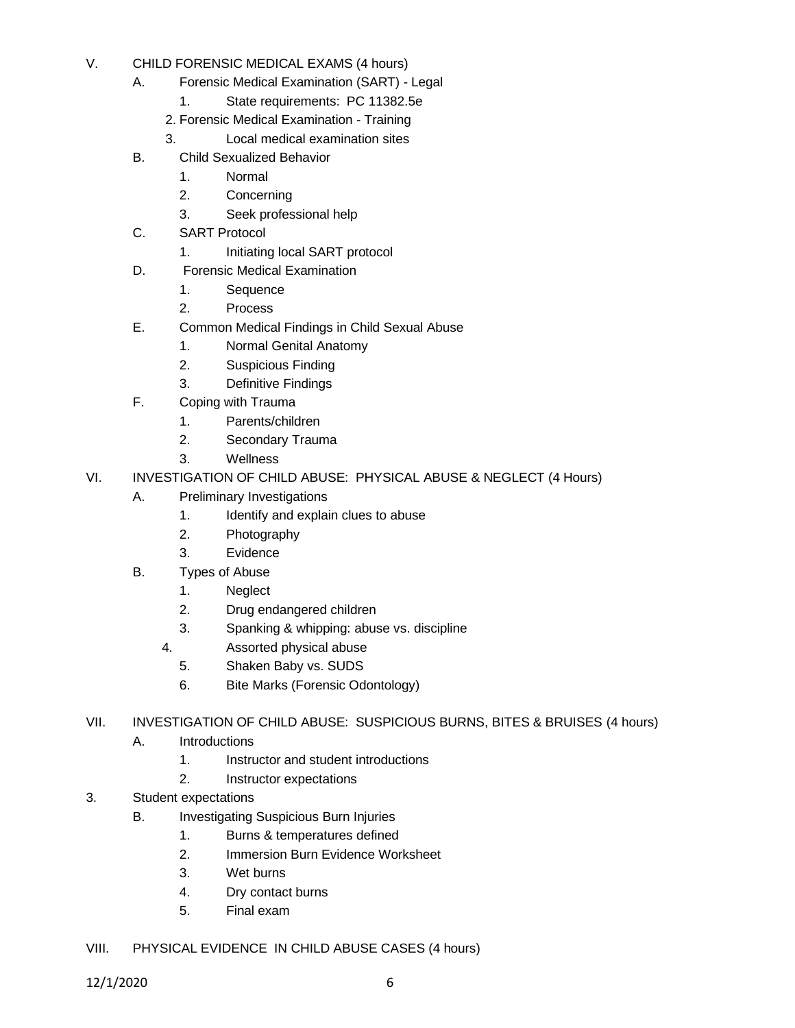- V. CHILD FORENSIC MEDICAL EXAMS (4 hours)
	- A. Forensic Medical Examination (SART) Legal
		- 1. State requirements: PC 11382.5e
		- 2. Forensic Medical Examination Training
		- 3. Local medical examination sites
	- B. Child Sexualized Behavior
		- 1. Normal
		- 2. Concerning
		- 3. Seek professional help
	- C. SART Protocol
		- 1. Initiating local SART protocol
	- D. Forensic Medical Examination
		- 1. Sequence
		- 2. Process
	- E. Common Medical Findings in Child Sexual Abuse
		- 1. Normal Genital Anatomy
		- 2. Suspicious Finding
		- 3. Definitive Findings
	- F. Coping with Trauma
		- 1. Parents/children
		- 2. Secondary Trauma
		- 3. Wellness
- VI. INVESTIGATION OF CHILD ABUSE: PHYSICAL ABUSE & NEGLECT (4 Hours)
	- A. Preliminary Investigations
		- 1. Identify and explain clues to abuse
		- 2. Photography
		- 3. Evidence
	- B. Types of Abuse
		- 1. Neglect
		- 2. Drug endangered children
		- 3. Spanking & whipping: abuse vs. discipline
		- 4. Assorted physical abuse
			- 5. Shaken Baby vs. SUDS
			- 6. Bite Marks (Forensic Odontology)
- VII. INVESTIGATION OF CHILD ABUSE: SUSPICIOUS BURNS, BITES & BRUISES (4 hours)
	- A. Introductions
		- 1. Instructor and student introductions
		- 2. Instructor expectations
- 3. Student expectations
	- B. Investigating Suspicious Burn Injuries
		- 1. Burns & temperatures defined
		- 2. Immersion Burn Evidence Worksheet
		- 3. Wet burns
		- 4. Dry contact burns
		- 5. Final exam
- VIII. PHYSICAL EVIDENCE IN CHILD ABUSE CASES (4 hours)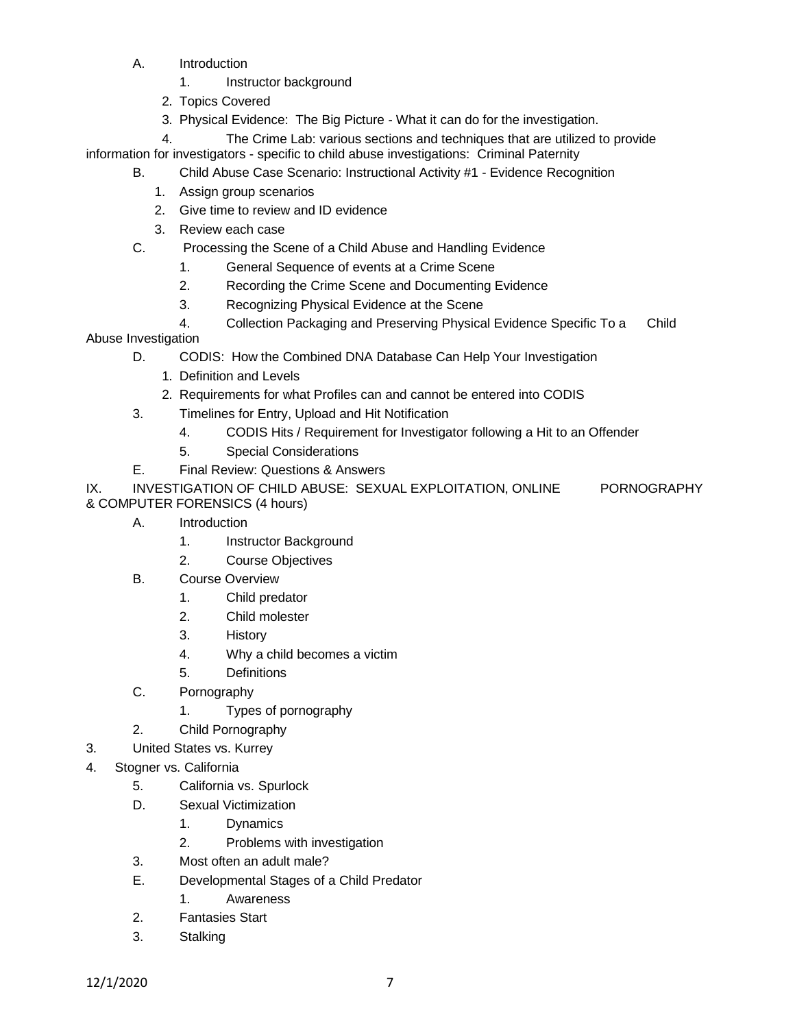- A. Introduction
	- 1. Instructor background
	- 2. Topics Covered
	- 3. Physical Evidence: The Big Picture What it can do for the investigation.

 4. The Crime Lab: various sections and techniques that are utilized to provide information for investigators - specific to child abuse investigations: Criminal Paternity

- B. Child Abuse Case Scenario: Instructional Activity #1 Evidence Recognition
	- 1. Assign group scenarios
	- 2. Give time to review and ID evidence
	- 3. Review each case
- C. Processing the Scene of a Child Abuse and Handling Evidence
	- 1. General Sequence of events at a Crime Scene
	- 2. Recording the Crime Scene and Documenting Evidence
	- 3. Recognizing Physical Evidence at the Scene
	- 4. Collection Packaging and Preserving Physical Evidence Specific To a Child

Abuse Investigation

- D. CODIS: How the Combined DNA Database Can Help Your Investigation
	- 1. Definition and Levels
	- 2. Requirements for what Profiles can and cannot be entered into CODIS
- 3. Timelines for Entry, Upload and Hit Notification
	- 4. CODIS Hits / Requirement for Investigator following a Hit to an Offender
	- 5. Special Considerations
- E. Final Review: Questions & Answers

IX. INVESTIGATION OF CHILD ABUSE: SEXUAL EXPLOITATION, ONLINE PORNOGRAPHY & COMPUTER FORENSICS (4 hours)

- A. Introduction
	- 1. Instructor Background
	- 2. Course Objectives
- B. Course Overview
	- 1. Child predator
	- 2. Child molester
	- 3. History
	- 4. Why a child becomes a victim
	- 5. Definitions
- C. Pornography
	- 1. Types of pornography
- 2. Child Pornography
- 3. United States vs. Kurrey
- 4. Stogner vs. California
	- 5. California vs. Spurlock
	- D. Sexual Victimization
		- 1. Dynamics
		- 2. Problems with investigation
	- 3. Most often an adult male?
	- E. Developmental Stages of a Child Predator
		- 1. Awareness
	- 2. Fantasies Start
	- 3. Stalking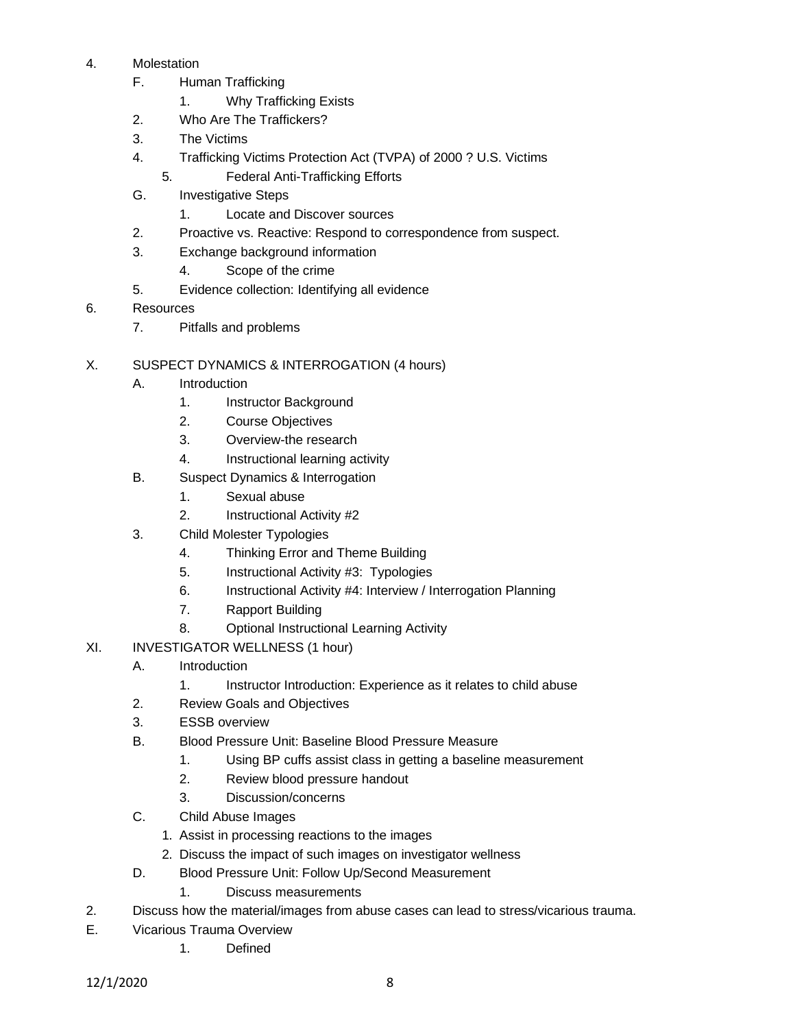### 4. Molestation

- F. Human Trafficking
	- 1. Why Trafficking Exists
- 2. Who Are The Traffickers?
- 3. The Victims
- 4. Trafficking Victims Protection Act (TVPA) of 2000 ? U.S. Victims
	- 5. Federal Anti-Trafficking Efforts
- G. Investigative Steps
	- 1. Locate and Discover sources
- 2. Proactive vs. Reactive: Respond to correspondence from suspect.
- 3. Exchange background information
	- 4. Scope of the crime
- 5. Evidence collection: Identifying all evidence
- 6. Resources
	- 7. Pitfalls and problems
- X. SUSPECT DYNAMICS & INTERROGATION (4 hours)
	- A. Introduction
		- 1. Instructor Background
		- 2. Course Objectives
		- 3. Overview-the research
		- 4. Instructional learning activity
	- B. Suspect Dynamics & Interrogation
		- 1. Sexual abuse
		- 2. Instructional Activity #2
	- 3. Child Molester Typologies
		- 4. Thinking Error and Theme Building
		- 5. Instructional Activity #3: Typologies
		- 6. Instructional Activity #4: Interview / Interrogation Planning
		- 7. Rapport Building
		- 8. Optional Instructional Learning Activity
- XI. INVESTIGATOR WELLNESS (1 hour)
	- A. Introduction
		- 1. Instructor Introduction: Experience as it relates to child abuse
	- 2. Review Goals and Objectives
	- 3. ESSB overview
	- B. Blood Pressure Unit: Baseline Blood Pressure Measure
		- 1. Using BP cuffs assist class in getting a baseline measurement
		- 2. Review blood pressure handout
		- 3. Discussion/concerns
	- C. Child Abuse Images
		- 1. Assist in processing reactions to the images
		- 2. Discuss the impact of such images on investigator wellness
	- D. Blood Pressure Unit: Follow Up/Second Measurement
		- 1. Discuss measurements
- 2. Discuss how the material/images from abuse cases can lead to stress/vicarious trauma.
- E. Vicarious Trauma Overview
	- 1. Defined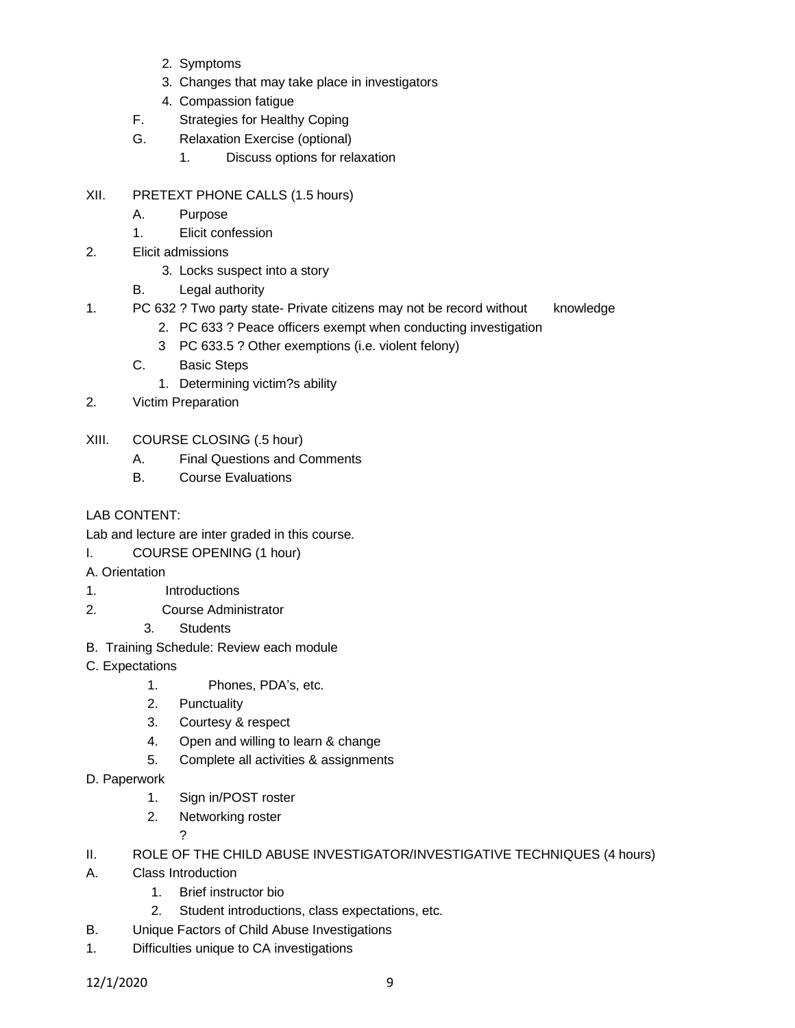- 2. Symptoms
- 3. Changes that may take place in investigators
- 4. Compassion fatigue
- F. Strategies for Healthy Coping
- G. Relaxation Exercise (optional)
	- 1. Discuss options for relaxation
- XII. PRETEXT PHONE CALLS (1.5 hours)
	- A. Purpose
	- 1. Elicit confession
- 2. Elicit admissions
	- 3. Locks suspect into a story
	- B. Legal authority
- 1. PC 632 ? Two party state- Private citizens may not be record without knowledge
	- 2. PC 633 ? Peace officers exempt when conducting investigation
	- 3 PC 633.5 ? Other exemptions (i.e. violent felony)
	- C. Basic Steps
		- 1. Determining victim?s ability
- 2. Victim Preparation
- XIII. COURSE CLOSING (.5 hour)
	- A. Final Questions and Comments
	- B. Course Evaluations

# LAB CONTENT:

- Lab and lecture are inter graded in this course.
- I. COURSE OPENING (1 hour)
- A. Orientation
- 1. Introductions
- 2. Course Administrator
	- 3. Students
- B. Training Schedule: Review each module
- C. Expectations
	- 1. Phones, PDA's, etc.
	- 2. Punctuality
	- 3. Courtesy & respect
	- 4. Open and willing to learn & change
	- 5. Complete all activities & assignments
- D. Paperwork
	- 1. Sign in/POST roster
	- 2. Networking roster

?

- II. ROLE OF THE CHILD ABUSE INVESTIGATOR/INVESTIGATIVE TECHNIQUES (4 hours)
- A. Class Introduction
	- 1. Brief instructor bio
	- 2. Student introductions, class expectations, etc.
- B. Unique Factors of Child Abuse Investigations
- 1. Difficulties unique to CA investigations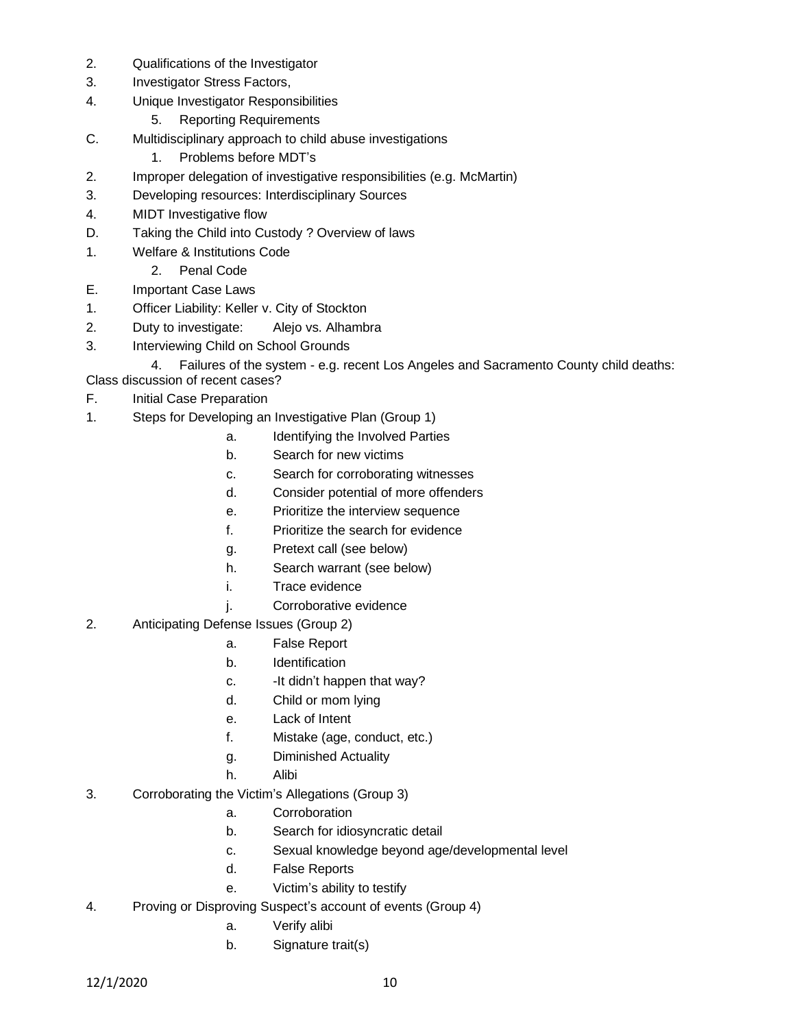- 2. Qualifications of the Investigator
- 3. Investigator Stress Factors,
- 4. Unique Investigator Responsibilities
	- 5. Reporting Requirements
- C. Multidisciplinary approach to child abuse investigations
	- 1. Problems before MDT's
- 2. Improper delegation of investigative responsibilities (e.g. McMartin)
- 3. Developing resources: Interdisciplinary Sources
- 4. MIDT Investigative flow
- D. Taking the Child into Custody ? Overview of laws
- 1. Welfare & Institutions Code
	- 2. Penal Code
- E. Important Case Laws
- 1. Officer Liability: Keller v. City of Stockton
- 2. Duty to investigate: Alejo vs. Alhambra
- 3. Interviewing Child on School Grounds

4. Failures of the system - e.g. recent Los Angeles and Sacramento County child deaths:

- Class discussion of recent cases? F. Initial Case Preparation
- 1. Steps for Developing an Investigative Plan (Group 1)
	- a. Identifying the Involved Parties
	- b. Search for new victims
	- c. Search for corroborating witnesses
	- d. Consider potential of more offenders
	- e. Prioritize the interview sequence
	- f. Prioritize the search for evidence
	- g. Pretext call (see below)
	- h. Search warrant (see below)
	- i. Trace evidence
	- j. Corroborative evidence
- 2. Anticipating Defense Issues (Group 2)
	- a. False Report
	- b. Identification
	- c. It didn't happen that way?
	- d. Child or mom lying
	- e. Lack of Intent
	- f. Mistake (age, conduct, etc.)
	- g. Diminished Actuality
	- h. Alibi
- 3. Corroborating the Victim's Allegations (Group 3)
	- a. Corroboration
	- b. Search for idiosyncratic detail
	- c. Sexual knowledge beyond age/developmental level
	- d. False Reports
	- e. Victim's ability to testify
- 4. Proving or Disproving Suspect's account of events (Group 4)
	- a. Verify alibi
	- b. Signature trait(s)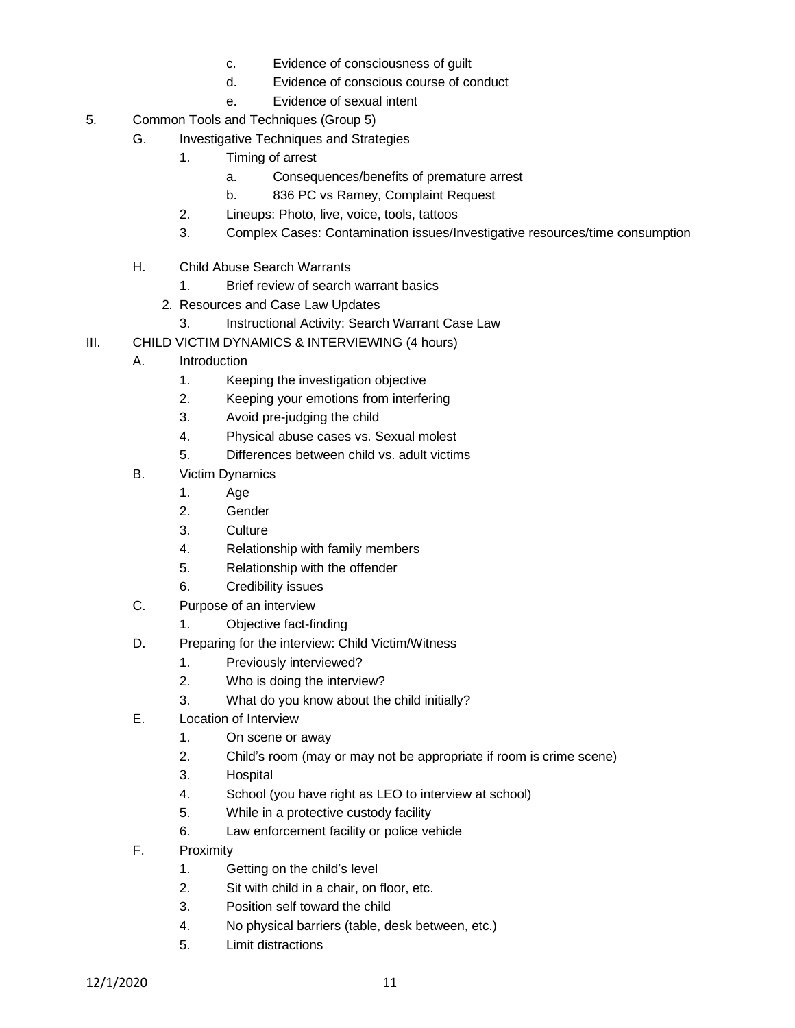- c. Evidence of consciousness of guilt
- d. Evidence of conscious course of conduct
- e. Evidence of sexual intent
- 5. Common Tools and Techniques (Group 5)
	- G. Investigative Techniques and Strategies
		- 1. Timing of arrest
			- a. Consequences/benefits of premature arrest
			- b. 836 PC vs Ramey, Complaint Request
		- 2. Lineups: Photo, live, voice, tools, tattoos
		- 3. Complex Cases: Contamination issues/Investigative resources/time consumption
	- H. Child Abuse Search Warrants
		- 1. Brief review of search warrant basics
		- 2. Resources and Case Law Updates
			- 3. Instructional Activity: Search Warrant Case Law
- III. CHILD VICTIM DYNAMICS & INTERVIEWING (4 hours)
	- A. Introduction
		- 1. Keeping the investigation objective
		- 2. Keeping your emotions from interfering
		- 3. Avoid pre-judging the child
		- 4. Physical abuse cases vs. Sexual molest
		- 5. Differences between child vs. adult victims
	- B. Victim Dynamics
		- 1. Age
		- 2. Gender
		- 3. Culture
		- 4. Relationship with family members
		- 5. Relationship with the offender
		- 6. Credibility issues
	- C. Purpose of an interview
		- 1. Objective fact-finding
	- D. Preparing for the interview: Child Victim/Witness
		- 1. Previously interviewed?
		- 2. Who is doing the interview?
		- 3. What do you know about the child initially?
	- E. Location of Interview
		- 1. On scene or away
		- 2. Child's room (may or may not be appropriate if room is crime scene)
		- 3. Hospital
		- 4. School (you have right as LEO to interview at school)
		- 5. While in a protective custody facility
		- 6. Law enforcement facility or police vehicle
	- F. Proximity
		- 1. Getting on the child's level
		- 2. Sit with child in a chair, on floor, etc.
		- 3. Position self toward the child
		- 4. No physical barriers (table, desk between, etc.)
		- 5. Limit distractions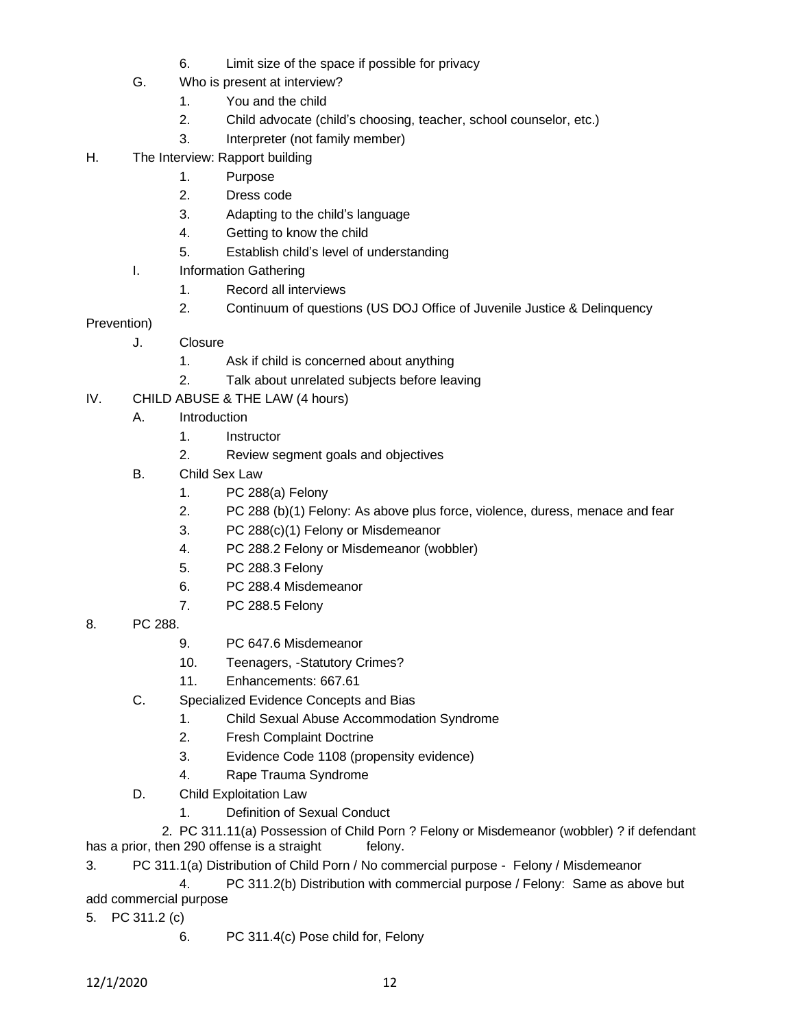- 6. Limit size of the space if possible for privacy
- G. Who is present at interview?
	- 1. You and the child
	- 2. Child advocate (child's choosing, teacher, school counselor, etc.)
	- 3. Interpreter (not family member)
- H. The Interview: Rapport building
	- 1. Purpose
	- 2. Dress code
	- 3. Adapting to the child's language
	- 4. Getting to know the child
	- 5. Establish child's level of understanding
	- I. Information Gathering
		- 1. Record all interviews
		- 2. Continuum of questions (US DOJ Office of Juvenile Justice & Delinquency

## Prevention)

- J. Closure
	- 1. Ask if child is concerned about anything
	- 2. Talk about unrelated subjects before leaving
- IV. CHILD ABUSE & THE LAW (4 hours)
	- A. Introduction
		- 1. Instructor
		- 2. Review segment goals and objectives
	- B. Child Sex Law
		- 1. PC 288(a) Felony
		- 2. PC 288 (b)(1) Felony: As above plus force, violence, duress, menace and fear
		- 3. PC 288(c)(1) Felony or Misdemeanor
		- 4. PC 288.2 Felony or Misdemeanor (wobbler)
		- 5. PC 288.3 Felony
		- 6. PC 288.4 Misdemeanor
		- 7. PC 288.5 Felony
- 8. PC 288.
	- 9. PC 647.6 Misdemeanor
	- 10. Teenagers, -Statutory Crimes?
	- 11. Enhancements: 667.61
	- C. Specialized Evidence Concepts and Bias
		- 1. Child Sexual Abuse Accommodation Syndrome
		- 2. Fresh Complaint Doctrine
		- 3. Evidence Code 1108 (propensity evidence)
		- 4. Rape Trauma Syndrome
	- D. Child Exploitation Law
		- 1. Definition of Sexual Conduct

 2. PC 311.11(a) Possession of Child Porn ? Felony or Misdemeanor (wobbler) ? if defendant has a prior, then 290 offense is a straight felony.

3. PC 311.1(a) Distribution of Child Porn / No commercial purpose - Felony / Misdemeanor

4. PC 311.2(b) Distribution with commercial purpose / Felony: Same as above but add commercial purpose

- 5. PC 311.2 (c)
	- 6. PC 311.4(c) Pose child for, Felony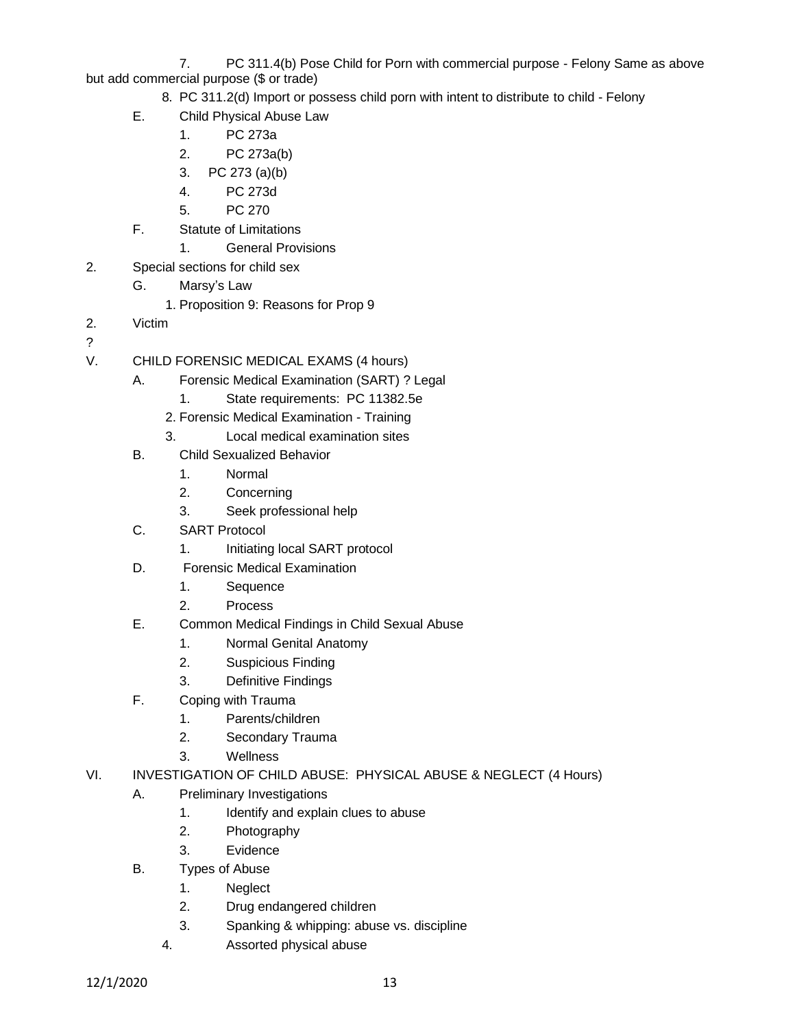7. PC 311.4(b) Pose Child for Porn with commercial purpose - Felony Same as above but add commercial purpose (\$ or trade)

- 8. PC 311.2(d) Import or possess child porn with intent to distribute to child Felony
- E. Child Physical Abuse Law
	- 1. PC 273a
	- 2. PC 273a(b)
	- 3. PC 273 (a)(b)
	- 4. PC 273d
	- 5. PC 270
- F. Statute of Limitations
	- 1. General Provisions
- 2. Special sections for child sex
	- G. Marsy's Law
		- 1. Proposition 9: Reasons for Prop 9
- 2. Victim
- ?
- V. CHILD FORENSIC MEDICAL EXAMS (4 hours)
	- A. Forensic Medical Examination (SART) ? Legal
		- 1. State requirements: PC 11382.5e
		- 2. Forensic Medical Examination Training
		- 3. Local medical examination sites
	- B. Child Sexualized Behavior
		- 1. Normal
		- 2. Concerning
		- 3. Seek professional help
	- C. SART Protocol
		- 1. Initiating local SART protocol
	- D. Forensic Medical Examination
		- 1. Sequence
		- 2. Process
	- E. Common Medical Findings in Child Sexual Abuse
		- 1. Normal Genital Anatomy
		- 2. Suspicious Finding
		- 3. Definitive Findings
	- F. Coping with Trauma
		- 1. Parents/children
		- 2. Secondary Trauma
		- 3. Wellness
- VI. INVESTIGATION OF CHILD ABUSE: PHYSICAL ABUSE & NEGLECT (4 Hours)
	- A. Preliminary Investigations
		- 1. Identify and explain clues to abuse
		- 2. Photography
		- 3. Evidence
	- B. Types of Abuse
		- 1. Neglect
		- 2. Drug endangered children
		- 3. Spanking & whipping: abuse vs. discipline
		- 4. Assorted physical abuse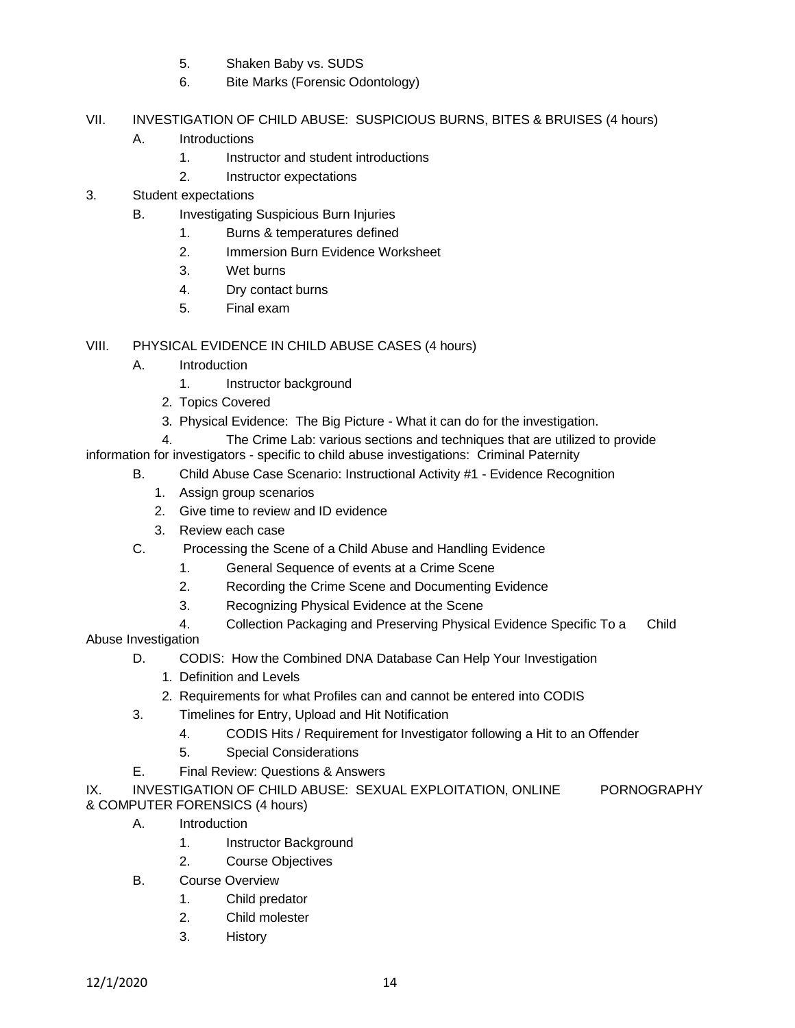- 5. Shaken Baby vs. SUDS
- 6. Bite Marks (Forensic Odontology)
- VII. INVESTIGATION OF CHILD ABUSE: SUSPICIOUS BURNS, BITES & BRUISES (4 hours)
	- A. Introductions
		- 1. Instructor and student introductions
		- 2. Instructor expectations
- 3. Student expectations
	- B. Investigating Suspicious Burn Injuries
		- 1. Burns & temperatures defined
		- 2. Immersion Burn Evidence Worksheet
		- 3. Wet burns
		- 4. Dry contact burns
		- 5. Final exam

VIII. PHYSICAL EVIDENCE IN CHILD ABUSE CASES (4 hours)

- A. Introduction
	- 1. Instructor background
	- 2. Topics Covered
	- 3. Physical Evidence: The Big Picture What it can do for the investigation.

 4. The Crime Lab: various sections and techniques that are utilized to provide information for investigators - specific to child abuse investigations: Criminal Paternity

- B. Child Abuse Case Scenario: Instructional Activity #1 Evidence Recognition
	- 1. Assign group scenarios
	- 2. Give time to review and ID evidence
	- 3. Review each case
- C. Processing the Scene of a Child Abuse and Handling Evidence
	- 1. General Sequence of events at a Crime Scene
	- 2. Recording the Crime Scene and Documenting Evidence
	- 3. Recognizing Physical Evidence at the Scene
	- 4. Collection Packaging and Preserving Physical Evidence Specific To a Child

Abuse Investigation

- D. CODIS: How the Combined DNA Database Can Help Your Investigation
	- 1. Definition and Levels
	- 2. Requirements for what Profiles can and cannot be entered into CODIS
- 3. Timelines for Entry, Upload and Hit Notification
	- 4. CODIS Hits / Requirement for Investigator following a Hit to an Offender
	- 5. Special Considerations
- E. Final Review: Questions & Answers

IX. INVESTIGATION OF CHILD ABUSE: SEXUAL EXPLOITATION, ONLINE PORNOGRAPHY & COMPUTER FORENSICS (4 hours)

- A. Introduction
	- 1. Instructor Background
	- 2. Course Objectives
- B. Course Overview
	- 1. Child predator
	- 2. Child molester
	- 3. History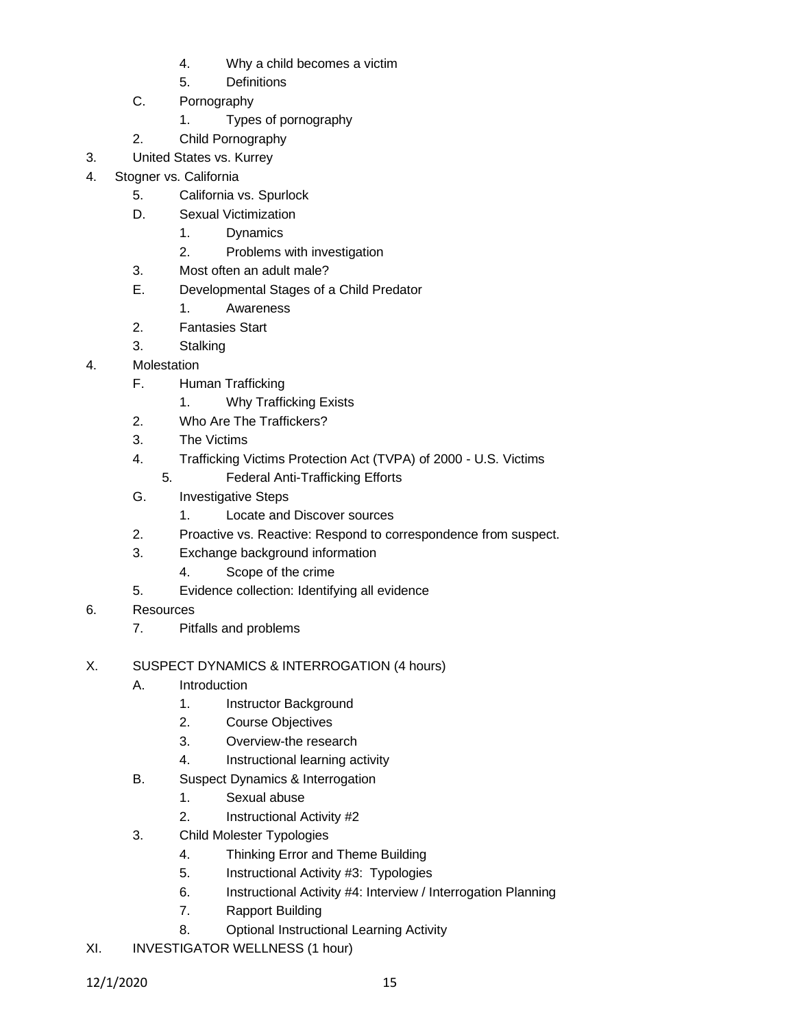- 4. Why a child becomes a victim
- 5. Definitions
- C. Pornography
	- 1. Types of pornography
- 2. Child Pornography
- 3. United States vs. Kurrey
- 4. Stogner vs. California
	- 5. California vs. Spurlock
	- D. Sexual Victimization
		- 1. Dynamics
		- 2. Problems with investigation
	- 3. Most often an adult male?
	- E. Developmental Stages of a Child Predator
		- 1. Awareness
	- 2. Fantasies Start
	- 3. Stalking
- 4. Molestation
	- F. Human Trafficking
		- 1. Why Trafficking Exists
	- 2. Who Are The Traffickers?
	- 3. The Victims
	- 4. Trafficking Victims Protection Act (TVPA) of 2000 U.S. Victims
		- 5. Federal Anti-Trafficking Efforts
	- G. Investigative Steps
		- 1. Locate and Discover sources
	- 2. Proactive vs. Reactive: Respond to correspondence from suspect.
	- 3. Exchange background information
		- 4. Scope of the crime
	- 5. Evidence collection: Identifying all evidence
- 6. Resources
	- 7. Pitfalls and problems
- X. SUSPECT DYNAMICS & INTERROGATION (4 hours)
	- A. Introduction
		- 1. Instructor Background
		- 2. Course Objectives
		- 3. Overview-the research
		- 4. Instructional learning activity
	- B. Suspect Dynamics & Interrogation
		- 1. Sexual abuse
		- 2. Instructional Activity #2
	- 3. Child Molester Typologies
		- 4. Thinking Error and Theme Building
		- 5. Instructional Activity #3: Typologies
		- 6. Instructional Activity #4: Interview / Interrogation Planning
		- 7. Rapport Building
		- 8. Optional Instructional Learning Activity
- XI. INVESTIGATOR WELLNESS (1 hour)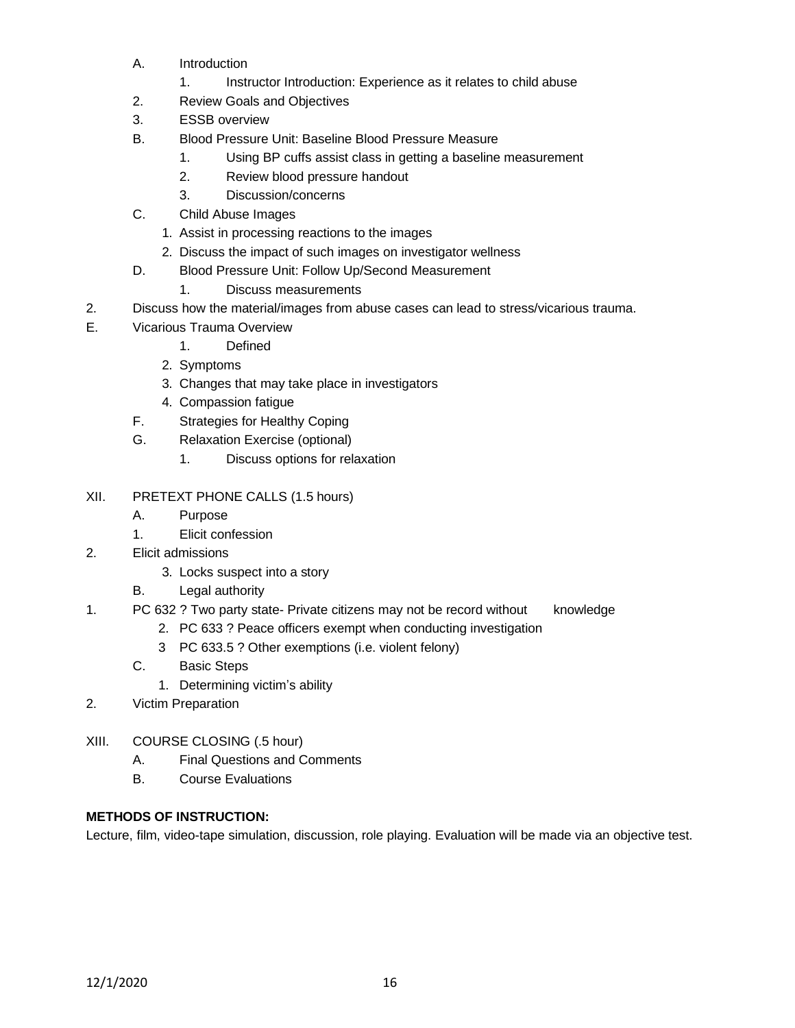- A. Introduction
	- 1. Instructor Introduction: Experience as it relates to child abuse
- 2. Review Goals and Objectives
- 3. ESSB overview
- B. Blood Pressure Unit: Baseline Blood Pressure Measure
	- 1. Using BP cuffs assist class in getting a baseline measurement
	- 2. Review blood pressure handout
	- 3. Discussion/concerns
- C. Child Abuse Images
	- 1. Assist in processing reactions to the images
	- 2. Discuss the impact of such images on investigator wellness
- D. Blood Pressure Unit: Follow Up/Second Measurement
	- 1. Discuss measurements
- 2. Discuss how the material/images from abuse cases can lead to stress/vicarious trauma.
- E. Vicarious Trauma Overview
	- 1. Defined
	- 2. Symptoms
	- 3. Changes that may take place in investigators
	- 4. Compassion fatigue
	- F. Strategies for Healthy Coping
	- G. Relaxation Exercise (optional)
		- 1. Discuss options for relaxation
- XII. PRETEXT PHONE CALLS (1.5 hours)
	- A. Purpose
	- 1. Elicit confession
- 2. Elicit admissions
	- 3. Locks suspect into a story
	- B. Legal authority

## 1. PC 632 ? Two party state- Private citizens may not be record without knowledge

- 2. PC 633 ? Peace officers exempt when conducting investigation
- 3 PC 633.5 ? Other exemptions (i.e. violent felony)
- C. Basic Steps
	- 1. Determining victim's ability
- 2. Victim Preparation
- XIII. COURSE CLOSING (.5 hour)
	- A. Final Questions and Comments
	- B. Course Evaluations

## **METHODS OF INSTRUCTION:**

Lecture, film, video-tape simulation, discussion, role playing. Evaluation will be made via an objective test.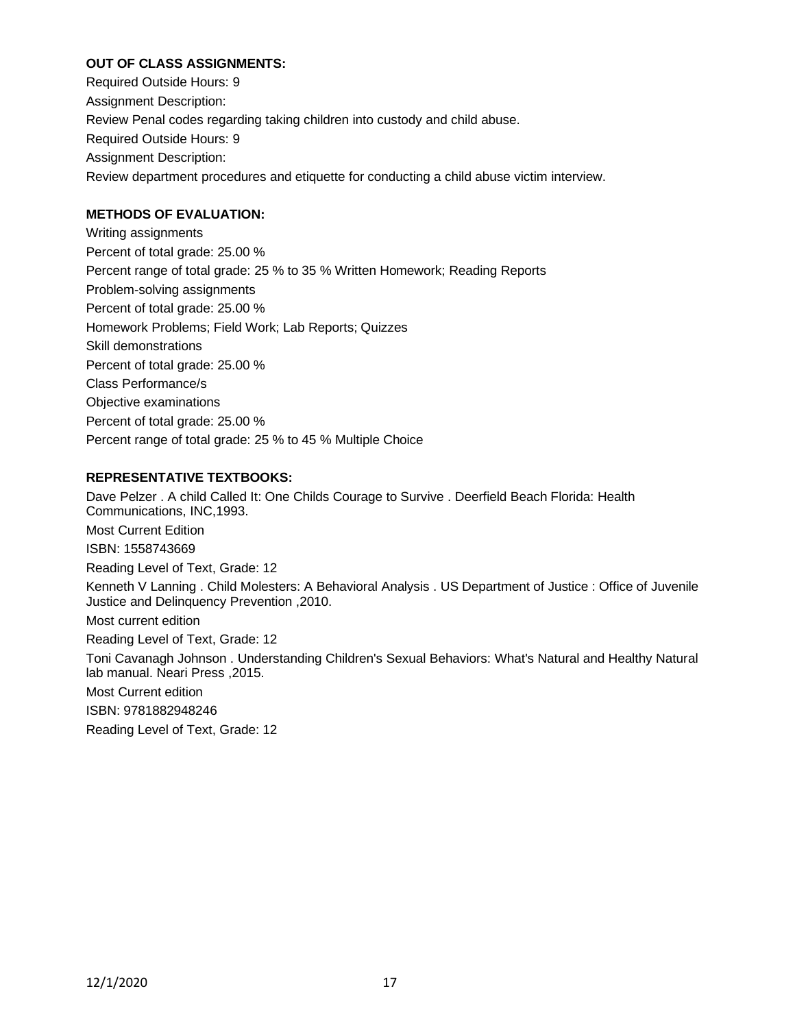### **OUT OF CLASS ASSIGNMENTS:**

Required Outside Hours: 9 Assignment Description: Review Penal codes regarding taking children into custody and child abuse. Required Outside Hours: 9 Assignment Description: Review department procedures and etiquette for conducting a child abuse victim interview.

#### **METHODS OF EVALUATION:**

Writing assignments Percent of total grade: 25.00 % Percent range of total grade: 25 % to 35 % Written Homework; Reading Reports Problem-solving assignments Percent of total grade: 25.00 % Homework Problems; Field Work; Lab Reports; Quizzes Skill demonstrations Percent of total grade: 25.00 % Class Performance/s Objective examinations Percent of total grade: 25.00 % Percent range of total grade: 25 % to 45 % Multiple Choice

#### **REPRESENTATIVE TEXTBOOKS:**

Dave Pelzer . A child Called It: One Childs Courage to Survive . Deerfield Beach Florida: Health Communications, INC,1993. Most Current Edition ISBN: 1558743669 Reading Level of Text, Grade: 12 Kenneth V Lanning . Child Molesters: A Behavioral Analysis . US Department of Justice : Office of Juvenile Justice and Delinquency Prevention ,2010. Most current edition Reading Level of Text, Grade: 12 Toni Cavanagh Johnson . Understanding Children's Sexual Behaviors: What's Natural and Healthy Natural lab manual. Neari Press ,2015. Most Current edition ISBN: 9781882948246 Reading Level of Text, Grade: 12